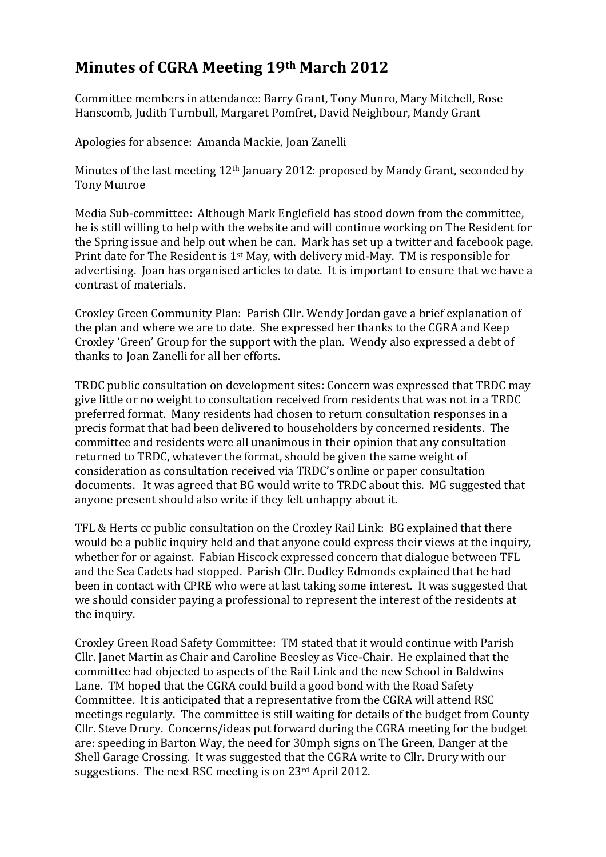## **Minutes of CGRA Meeting 19th March 2012**

Committee members in attendance: Barry Grant, Tony Munro, Mary Mitchell, Rose Hanscomb, Judith Turnbull, Margaret Pomfret, David Neighbour, Mandy Grant

Apologies for absence: Amanda Mackie, Joan Zanelli

Minutes of the last meeting 12<sup>th</sup> January 2012: proposed by Mandy Grant, seconded by Tony Munroe

Media Sub-committee: Although Mark Englefield has stood down from the committee, he is still willing to help with the website and will continue working on The Resident for the Spring issue and help out when he can. Mark has set up a twitter and facebook page. Print date for The Resident is 1st May, with delivery mid-May. TM is responsible for advertising. Joan has organised articles to date. It is important to ensure that we have a contrast of materials.

Croxley Green Community Plan: Parish Cllr. Wendy Jordan gave a brief explanation of the plan and where we are to date. She expressed her thanks to the CGRA and Keep Croxley 'Green' Group for the support with the plan. Wendy also expressed a debt of thanks to Joan Zanelli for all her efforts.

TRDC public consultation on development sites: Concern was expressed that TRDC may give little or no weight to consultation received from residents that was not in a TRDC preferred format. Many residents had chosen to return consultation responses in a precis format that had been delivered to householders by concerned residents. The committee and residents were all unanimous in their opinion that any consultation returned to TRDC, whatever the format, should be given the same weight of consideration as consultation received via TRDC's online or paper consultation documents. It was agreed that BG would write to TRDC about this. MG suggested that anyone present should also write if they felt unhappy about it.

TFL & Herts cc public consultation on the Croxley Rail Link: BG explained that there would be a public inquiry held and that anyone could express their views at the inquiry, whether for or against. Fabian Hiscock expressed concern that dialogue between TFL and the Sea Cadets had stopped. Parish Cllr. Dudley Edmonds explained that he had been in contact with CPRE who were at last taking some interest. It was suggested that we should consider paying a professional to represent the interest of the residents at the inquiry.

Croxley Green Road Safety Committee: TM stated that it would continue with Parish Cllr. Janet Martin as Chair and Caroline Beesley as Vice-Chair. He explained that the committee had objected to aspects of the Rail Link and the new School in Baldwins Lane. TM hoped that the CGRA could build a good bond with the Road Safety Committee. It is anticipated that a representative from the CGRA will attend RSC meetings regularly. The committee is still waiting for details of the budget from County Cllr. Steve Drury. Concerns/ideas put forward during the CGRA meeting for the budget are: speeding in Barton Way, the need for 30mph signs on The Green, Danger at the Shell Garage Crossing. It was suggested that the CGRA write to Cllr. Drury with our suggestions. The next RSC meeting is on 23<sup>rd</sup> April 2012.